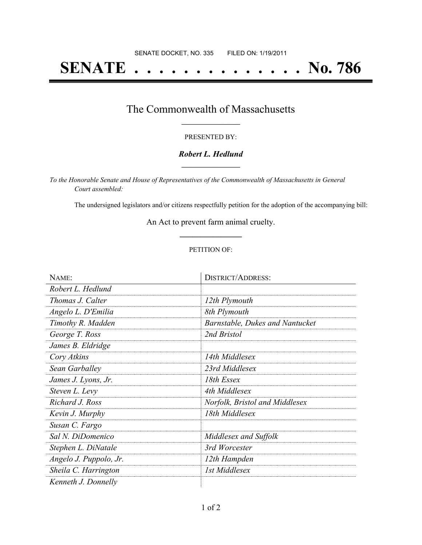# **SENATE . . . . . . . . . . . . . . No. 786**

## The Commonwealth of Massachusetts **\_\_\_\_\_\_\_\_\_\_\_\_\_\_\_\_\_**

#### PRESENTED BY:

#### *Robert L. Hedlund* **\_\_\_\_\_\_\_\_\_\_\_\_\_\_\_\_\_**

*To the Honorable Senate and House of Representatives of the Commonwealth of Massachusetts in General Court assembled:*

The undersigned legislators and/or citizens respectfully petition for the adoption of the accompanying bill:

An Act to prevent farm animal cruelty. **\_\_\_\_\_\_\_\_\_\_\_\_\_\_\_**

#### PETITION OF:

| NAME:                  | <b>DISTRICT/ADDRESS:</b>               |
|------------------------|----------------------------------------|
| Robert L. Hedlund      |                                        |
| Thomas J. Calter       | 12th Plymouth                          |
| Angelo L. D'Emilia     | 8th Plymouth                           |
| Timothy R. Madden      | <b>Barnstable, Dukes and Nantucket</b> |
| George T. Ross         | 2nd Bristol                            |
| James B. Eldridge      |                                        |
| Cory Atkins            | 14th Middlesex                         |
| Sean Garballey         | 23rd Middlesex                         |
| James J. Lyons, Jr.    | 18th Essex                             |
| Steven L. Levy         | 4th Middlesex                          |
| Richard J. Ross        | Norfolk, Bristol and Middlesex         |
| Kevin J. Murphy        | 18th Middlesex                         |
| Susan C. Fargo         |                                        |
| Sal N. DiDomenico      | Middlesex and Suffolk                  |
| Stephen L. DiNatale    | 3rd Worcester                          |
| Angelo J. Puppolo, Jr. | 12th Hampden                           |
| Sheila C. Harrington   | 1st Middlesex                          |
| Kenneth J. Donnelly    |                                        |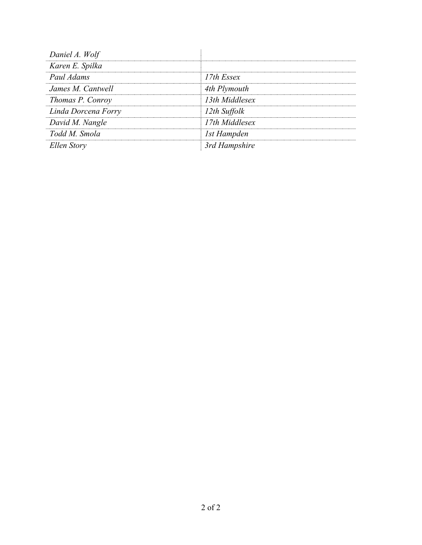| Daniel A. Wolf      |                |
|---------------------|----------------|
| Karen E. Spilka     |                |
| Paul Adams          | 17th Essex     |
| James M. Cantwell   | 4th Plymouth   |
| Thomas P. Conroy    | 13th Middlesex |
| Linda Dorcena Forry | 12th Suffolk   |
| David M. Nangle     | 17th Middlesex |
| Todd M. Smola       | 1st Hampden    |
| Ellen Story         | 3rd Hampshire  |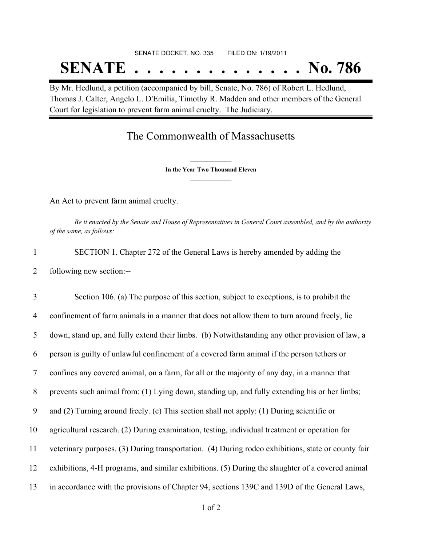# SENATE DOCKET, NO. 335 FILED ON: 1/19/2011 **SENATE . . . . . . . . . . . . . . No. 786**

By Mr. Hedlund, a petition (accompanied by bill, Senate, No. 786) of Robert L. Hedlund, Thomas J. Calter, Angelo L. D'Emilia, Timothy R. Madden and other members of the General Court for legislation to prevent farm animal cruelty. The Judiciary.

## The Commonwealth of Massachusetts

**\_\_\_\_\_\_\_\_\_\_\_\_\_\_\_ In the Year Two Thousand Eleven \_\_\_\_\_\_\_\_\_\_\_\_\_\_\_**

An Act to prevent farm animal cruelty.

Be it enacted by the Senate and House of Representatives in General Court assembled, and by the authority *of the same, as follows:*

1 SECTION 1. Chapter 272 of the General Laws is hereby amended by adding the 2 following new section:--

 Section 106. (a) The purpose of this section, subject to exceptions, is to prohibit the confinement of farm animals in a manner that does not allow them to turn around freely, lie down, stand up, and fully extend their limbs. (b) Notwithstanding any other provision of law, a person is guilty of unlawful confinement of a covered farm animal if the person tethers or confines any covered animal, on a farm, for all or the majority of any day, in a manner that prevents such animal from: (1) Lying down, standing up, and fully extending his or her limbs; and (2) Turning around freely. (c) This section shall not apply: (1) During scientific or agricultural research. (2) During examination, testing, individual treatment or operation for veterinary purposes. (3) During transportation. (4) During rodeo exhibitions, state or county fair exhibitions, 4-H programs, and similar exhibitions. (5) During the slaughter of a covered animal in accordance with the provisions of Chapter 94, sections 139C and 139D of the General Laws,